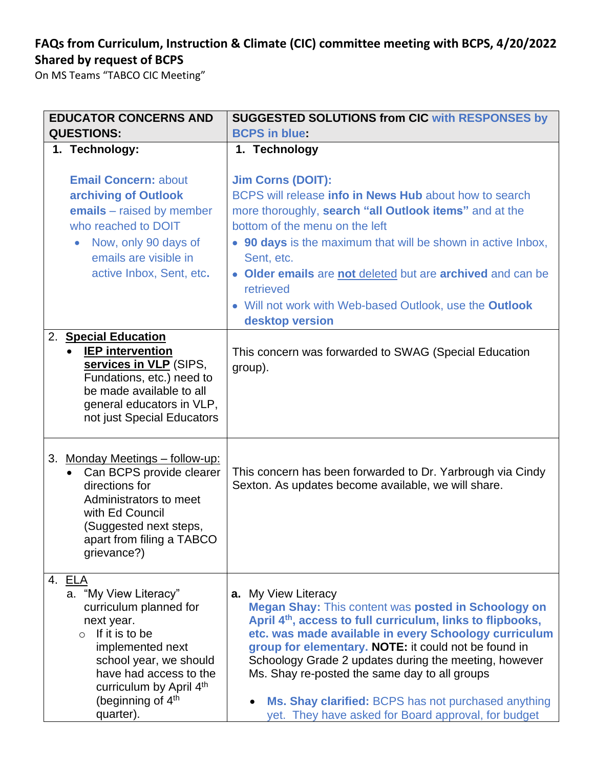## **FAQs from Curriculum, Instruction & Climate (CIC) committee meeting with BCPS, 4/20/2022 Shared by request of BCPS**

On MS Teams "TABCO CIC Meeting"

| <b>EDUCATOR CONCERNS AND</b> |                                                               | <b>SUGGESTED SOLUTIONS from CIC with RESPONSES by</b>                                                                           |
|------------------------------|---------------------------------------------------------------|---------------------------------------------------------------------------------------------------------------------------------|
| <b>QUESTIONS:</b>            |                                                               | <b>BCPS in blue:</b>                                                                                                            |
|                              | 1. Technology:                                                | 1. Technology                                                                                                                   |
|                              |                                                               |                                                                                                                                 |
|                              | <b>Email Concern: about</b>                                   | <b>Jim Corns (DOIT):</b>                                                                                                        |
|                              | archiving of Outlook                                          | BCPS will release info in News Hub about how to search                                                                          |
|                              | emails - raised by member                                     | more thoroughly, search "all Outlook items" and at the                                                                          |
|                              | who reached to DOIT                                           | bottom of the menu on the left                                                                                                  |
|                              | Now, only 90 days of<br>$\bullet$                             | • 90 days is the maximum that will be shown in active Inbox,                                                                    |
|                              | emails are visible in                                         | Sent, etc.                                                                                                                      |
|                              | active Inbox, Sent, etc.                                      | • Older emails are not deleted but are archived and can be<br>retrieved                                                         |
|                              |                                                               | • Will not work with Web-based Outlook, use the Outlook                                                                         |
|                              |                                                               | desktop version                                                                                                                 |
|                              | 2. Special Education                                          |                                                                                                                                 |
|                              | <b>IEP</b> intervention                                       | This concern was forwarded to SWAG (Special Education                                                                           |
|                              | services in VLP (SIPS,                                        | group).                                                                                                                         |
|                              | Fundations, etc.) need to<br>be made available to all         |                                                                                                                                 |
|                              | general educators in VLP,                                     |                                                                                                                                 |
|                              | not just Special Educators                                    |                                                                                                                                 |
|                              |                                                               |                                                                                                                                 |
|                              |                                                               |                                                                                                                                 |
|                              | 3. Monday Meetings - follow-up:<br>• Can BCPS provide clearer | This concern has been forwarded to Dr. Yarbrough via Cindy                                                                      |
|                              | directions for                                                | Sexton. As updates become available, we will share.                                                                             |
|                              | Administrators to meet                                        |                                                                                                                                 |
|                              | with Ed Council                                               |                                                                                                                                 |
|                              | (Suggested next steps,                                        |                                                                                                                                 |
|                              | apart from filing a TABCO<br>grievance?)                      |                                                                                                                                 |
|                              |                                                               |                                                                                                                                 |
|                              | 4. <u>ELA</u>                                                 |                                                                                                                                 |
|                              | a. "My View Literacy"                                         | a. My View Literacy                                                                                                             |
|                              | curriculum planned for                                        | <b>Megan Shay: This content was posted in Schoology on</b>                                                                      |
|                              | next year.<br>If it is to be<br>$\circ$                       | April 4 <sup>th</sup> , access to full curriculum, links to flipbooks,<br>etc. was made available in every Schoology curriculum |
|                              | implemented next                                              | group for elementary. NOTE: it could not be found in                                                                            |
|                              | school year, we should                                        | Schoology Grade 2 updates during the meeting, however                                                                           |
|                              | have had access to the                                        | Ms. Shay re-posted the same day to all groups                                                                                   |
|                              | curriculum by April 4th                                       |                                                                                                                                 |
|                              | (beginning of 4 <sup>th</sup>                                 | Ms. Shay clarified: BCPS has not purchased anything                                                                             |
|                              | quarter).                                                     | yet. They have asked for Board approval, for budget                                                                             |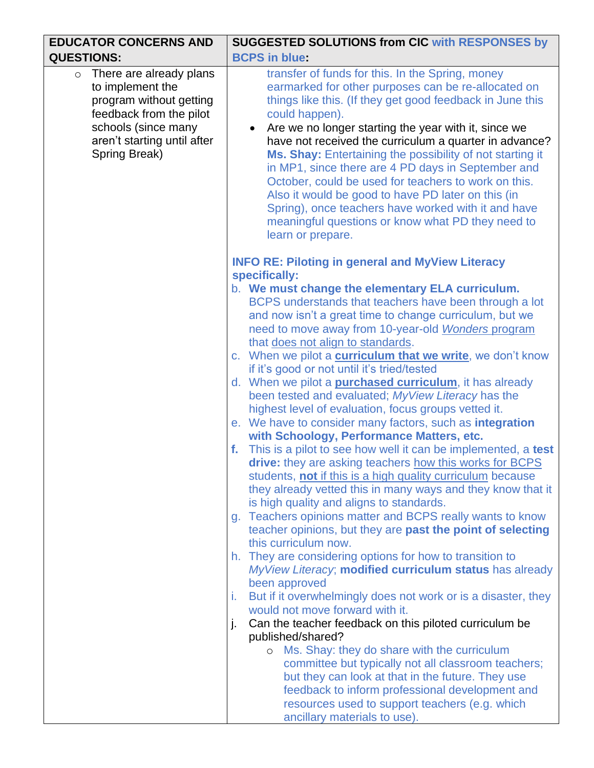| <b>EDUCATOR CONCERNS AND</b>                                                                                                                                                        | <b>SUGGESTED SOLUTIONS from CIC with RESPONSES by</b>                                                                                                                                                                                                                                                                                                                                                                                                                                                                                                                                                                                                                                   |
|-------------------------------------------------------------------------------------------------------------------------------------------------------------------------------------|-----------------------------------------------------------------------------------------------------------------------------------------------------------------------------------------------------------------------------------------------------------------------------------------------------------------------------------------------------------------------------------------------------------------------------------------------------------------------------------------------------------------------------------------------------------------------------------------------------------------------------------------------------------------------------------------|
| <b>QUESTIONS:</b>                                                                                                                                                                   | <b>BCPS in blue:</b>                                                                                                                                                                                                                                                                                                                                                                                                                                                                                                                                                                                                                                                                    |
| There are already plans<br>$\circ$<br>to implement the<br>program without getting<br>feedback from the pilot<br>schools (since many<br>aren't starting until after<br>Spring Break) | transfer of funds for this. In the Spring, money<br>earmarked for other purposes can be re-allocated on<br>things like this. (If they get good feedback in June this<br>could happen).<br>Are we no longer starting the year with it, since we<br>$\bullet$<br>have not received the curriculum a quarter in advance?<br>Ms. Shay: Entertaining the possibility of not starting it<br>in MP1, since there are 4 PD days in September and<br>October, could be used for teachers to work on this.<br>Also it would be good to have PD later on this (in<br>Spring), once teachers have worked with it and have<br>meaningful questions or know what PD they need to<br>learn or prepare. |
|                                                                                                                                                                                     | <b>INFO RE: Piloting in general and MyView Literacy</b>                                                                                                                                                                                                                                                                                                                                                                                                                                                                                                                                                                                                                                 |
|                                                                                                                                                                                     | specifically:                                                                                                                                                                                                                                                                                                                                                                                                                                                                                                                                                                                                                                                                           |
|                                                                                                                                                                                     | b. We must change the elementary ELA curriculum.<br>BCPS understands that teachers have been through a lot<br>and now isn't a great time to change curriculum, but we<br>need to move away from 10-year-old Wonders program<br>that does not align to standards.                                                                                                                                                                                                                                                                                                                                                                                                                        |
|                                                                                                                                                                                     | c. When we pilot a <b>curriculum that we write</b> , we don't know<br>if it's good or not until it's tried/tested                                                                                                                                                                                                                                                                                                                                                                                                                                                                                                                                                                       |
|                                                                                                                                                                                     | d. When we pilot a <b>purchased curriculum</b> , it has already<br>been tested and evaluated; MyView Literacy has the<br>highest level of evaluation, focus groups vetted it.<br>e. We have to consider many factors, such as integration                                                                                                                                                                                                                                                                                                                                                                                                                                               |
|                                                                                                                                                                                     | with Schoology, Performance Matters, etc.                                                                                                                                                                                                                                                                                                                                                                                                                                                                                                                                                                                                                                               |
|                                                                                                                                                                                     | This is a pilot to see how well it can be implemented, a test<br>f.<br>drive: they are asking teachers how this works for BCPS<br>students, not if this is a high quality curriculum because<br>they already vetted this in many ways and they know that it<br>is high quality and aligns to standards.                                                                                                                                                                                                                                                                                                                                                                                 |
|                                                                                                                                                                                     | g. Teachers opinions matter and BCPS really wants to know<br>teacher opinions, but they are past the point of selecting<br>this curriculum now.                                                                                                                                                                                                                                                                                                                                                                                                                                                                                                                                         |
|                                                                                                                                                                                     | h. They are considering options for how to transition to<br>MyView Literacy; modified curriculum status has already<br>been approved                                                                                                                                                                                                                                                                                                                                                                                                                                                                                                                                                    |
|                                                                                                                                                                                     | But if it overwhelmingly does not work or is a disaster, they<br>Ъ.                                                                                                                                                                                                                                                                                                                                                                                                                                                                                                                                                                                                                     |
|                                                                                                                                                                                     | would not move forward with it.<br>Can the teacher feedback on this piloted curriculum be<br>J.<br>published/shared?                                                                                                                                                                                                                                                                                                                                                                                                                                                                                                                                                                    |
|                                                                                                                                                                                     | Ms. Shay: they do share with the curriculum<br>$\circ$<br>committee but typically not all classroom teachers;<br>but they can look at that in the future. They use<br>feedback to inform professional development and<br>resources used to support teachers (e.g. which<br>ancillary materials to use).                                                                                                                                                                                                                                                                                                                                                                                 |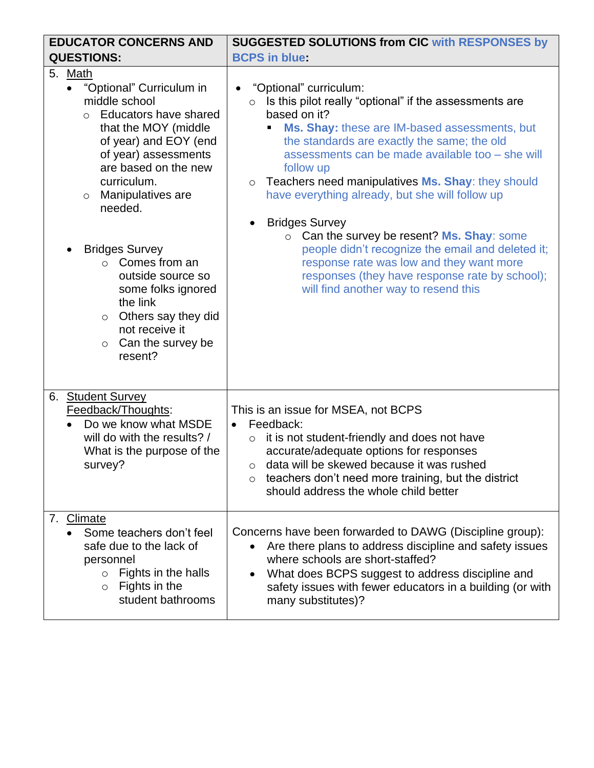| <b>EDUCATOR CONCERNS AND</b><br><b>QUESTIONS:</b>                                                                                                                                                                                                                                                                                                                                                                                                                | <b>SUGGESTED SOLUTIONS from CIC with RESPONSES by</b><br><b>BCPS in blue:</b>                                                                                                                                                                                                                                                                                                                                                                                                                                                                                                                                                                                                  |
|------------------------------------------------------------------------------------------------------------------------------------------------------------------------------------------------------------------------------------------------------------------------------------------------------------------------------------------------------------------------------------------------------------------------------------------------------------------|--------------------------------------------------------------------------------------------------------------------------------------------------------------------------------------------------------------------------------------------------------------------------------------------------------------------------------------------------------------------------------------------------------------------------------------------------------------------------------------------------------------------------------------------------------------------------------------------------------------------------------------------------------------------------------|
| 5.<br>Math<br>"Optional" Curriculum in<br>middle school<br>Educators have shared<br>$\circ$<br>that the MOY (middle<br>of year) and EOY (end<br>of year) assessments<br>are based on the new<br>curriculum.<br>Manipulatives are<br>$\circ$<br>needed.<br><b>Bridges Survey</b><br>Comes from an<br>$\cap$<br>outside source so<br>some folks ignored<br>the link<br>Others say they did<br>$\circ$<br>not receive it<br>Can the survey be<br>$\circ$<br>resent? | "Optional" curriculum:<br>$\bullet$<br>Is this pilot really "optional" if the assessments are<br>$\circ$<br>based on it?<br>Ms. Shay: these are IM-based assessments, but<br>the standards are exactly the same; the old<br>assessments can be made available too - she will<br>follow up<br>Teachers need manipulatives Ms. Shay: they should<br>$\circ$<br>have everything already, but she will follow up<br><b>Bridges Survey</b><br>o Can the survey be resent? Ms. Shay: some<br>people didn't recognize the email and deleted it;<br>response rate was low and they want more<br>responses (they have response rate by school);<br>will find another way to resend this |
| 6. Student Survey<br>Feedback/Thoughts:<br>Do we know what MSDE<br>will do with the results? /<br>What is the purpose of the<br>survey?                                                                                                                                                                                                                                                                                                                          | This is an issue for MSEA, not BCPS<br>Feedback:<br>$\bullet$<br>it is not student-friendly and does not have<br>$\circ$<br>accurate/adequate options for responses<br>data will be skewed because it was rushed<br>$\circ$<br>teachers don't need more training, but the district<br>should address the whole child better                                                                                                                                                                                                                                                                                                                                                    |
| 7.<br><b>Climate</b><br>Some teachers don't feel<br>safe due to the lack of<br>personnel<br>Fights in the halls<br>$\circ$<br>Fights in the<br>$\circ$<br>student bathrooms                                                                                                                                                                                                                                                                                      | Concerns have been forwarded to DAWG (Discipline group):<br>Are there plans to address discipline and safety issues<br>where schools are short-staffed?<br>What does BCPS suggest to address discipline and<br>safety issues with fewer educators in a building (or with<br>many substitutes)?                                                                                                                                                                                                                                                                                                                                                                                 |